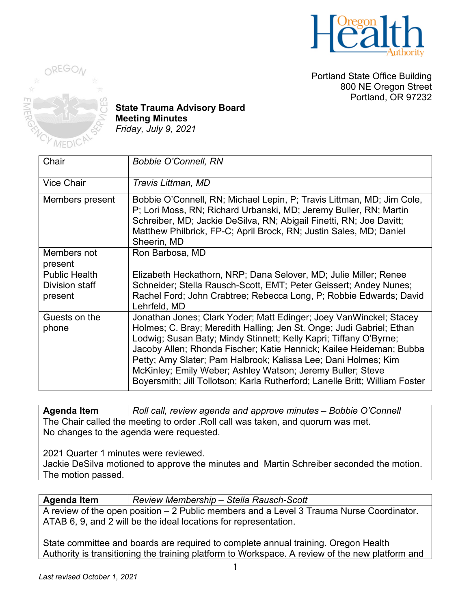

Portland State Office Building 800 NE Oregon Street Portland, OR 97232



**State Trauma Advisory Board Meeting Minutes** *Friday, July 9, 2021*

| Chair                                             | <b>Bobbie O'Connell, RN</b>                                                                                                                                                                                                                                                                                                                                                                                                                                                                           |
|---------------------------------------------------|-------------------------------------------------------------------------------------------------------------------------------------------------------------------------------------------------------------------------------------------------------------------------------------------------------------------------------------------------------------------------------------------------------------------------------------------------------------------------------------------------------|
| <b>Vice Chair</b>                                 | Travis Littman, MD                                                                                                                                                                                                                                                                                                                                                                                                                                                                                    |
| Members present                                   | Bobbie O'Connell, RN; Michael Lepin, P; Travis Littman, MD; Jim Cole,<br>P; Lori Moss, RN; Richard Urbanski, MD; Jeremy Buller, RN; Martin<br>Schreiber, MD; Jackie DeSilva, RN; Abigail Finetti, RN; Joe Davitt;<br>Matthew Philbrick, FP-C; April Brock, RN; Justin Sales, MD; Daniel<br>Sheerin, MD                                                                                                                                                                                                |
| Members not<br>present                            | Ron Barbosa, MD                                                                                                                                                                                                                                                                                                                                                                                                                                                                                       |
| <b>Public Health</b><br>Division staff<br>present | Elizabeth Heckathorn, NRP; Dana Selover, MD; Julie Miller; Renee<br>Schneider; Stella Rausch-Scott, EMT; Peter Geissert; Andey Nunes;<br>Rachel Ford; John Crabtree; Rebecca Long, P; Robbie Edwards; David<br>Lehrfeld, MD                                                                                                                                                                                                                                                                           |
| Guests on the<br>phone                            | Jonathan Jones; Clark Yoder; Matt Edinger; Joey VanWinckel; Stacey<br>Holmes; C. Bray; Meredith Halling; Jen St. Onge; Judi Gabriel; Ethan<br>Lodwig; Susan Baty; Mindy Stinnett; Kelly Kapri; Tiffany O'Byrne;<br>Jacoby Allen; Rhonda Fischer; Katie Hennick; Kailee Heideman; Bubba<br>Petty; Amy Slater; Pam Halbrook; Kalissa Lee; Dani Holmes; Kim<br>McKinley; Emily Weber; Ashley Watson; Jeremy Buller; Steve<br>Boyersmith; Jill Tollotson; Karla Rutherford; Lanelle Britt; William Foster |

**Agenda Item** *Roll call, review agenda and approve minutes – Bobbie O'Connell* The Chair called the meeting to order .Roll call was taken, and quorum was met. No changes to the agenda were requested.

2021 Quarter 1 minutes were reviewed.

Jackie DeSilva motioned to approve the minutes and Martin Schreiber seconded the motion. The motion passed.

| <b>Agenda Item</b> | Review Membership – Stella Rausch-Scott                                                  |
|--------------------|------------------------------------------------------------------------------------------|
|                    | A review of the open position – 2 Public members and a Level 3 Trauma Nurse Coordinator. |
|                    | ATAB 6, 9, and 2 will be the ideal locations for representation.                         |

State committee and boards are required to complete annual training. Oregon Health Authority is transitioning the training platform to Workspace. A review of the new platform and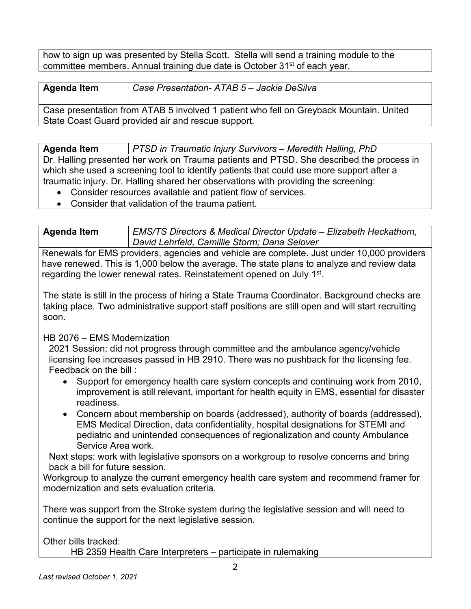how to sign up was presented by Stella Scott. Stella will send a training module to the committee members. Annual training due date is October 31st of each year.

### **Agenda Item** *Case Presentation- ATAB 5 – Jackie DeSilva*

Case presentation from ATAB 5 involved 1 patient who fell on Greyback Mountain. United State Coast Guard provided air and rescue support.

**Agenda Item** *PTSD in Traumatic Injury Survivors – Meredith Halling, PhD*

Dr. Halling presented her work on Trauma patients and PTSD. She described the process in which she used a screening tool to identify patients that could use more support after a traumatic injury. Dr. Halling shared her observations with providing the screening:

- Consider resources available and patient flow of services.
- Consider that validation of the trauma patient.

**Agenda Item** *EMS/TS Directors & Medical Director Update – Elizabeth Heckathorn, David Lehrfeld, Camillie Storm; Dana Selover*

Renewals for EMS providers, agencies and vehicle are complete. Just under 10,000 providers have renewed. This is 1,000 below the average. The state plans to analyze and review data regarding the lower renewal rates. Reinstatement opened on July 1<sup>st</sup>.

The state is still in the process of hiring a State Trauma Coordinator. Background checks are taking place. Two administrative support staff positions are still open and will start recruiting soon.

### HB 2076 – EMS Modernization

2021 Session: did not progress through committee and the ambulance agency/vehicle licensing fee increases passed in HB 2910. There was no pushback for the licensing fee. Feedback on the bill :

- Support for emergency health care system concepts and continuing work from 2010, improvement is still relevant, important for health equity in EMS, essential for disaster readiness.
- Concern about membership on boards (addressed), authority of boards (addressed), EMS Medical Direction, data confidentiality, hospital designations for STEMI and pediatric and unintended consequences of regionalization and county Ambulance Service Area work.

Next steps: work with legislative sponsors on a workgroup to resolve concerns and bring back a bill for future session.

Workgroup to analyze the current emergency health care system and recommend framer for modernization and sets evaluation criteria.

There was support from the Stroke system during the legislative session and will need to continue the support for the next legislative session.

Other bills tracked:

HB 2359 Health Care Interpreters – participate in rulemaking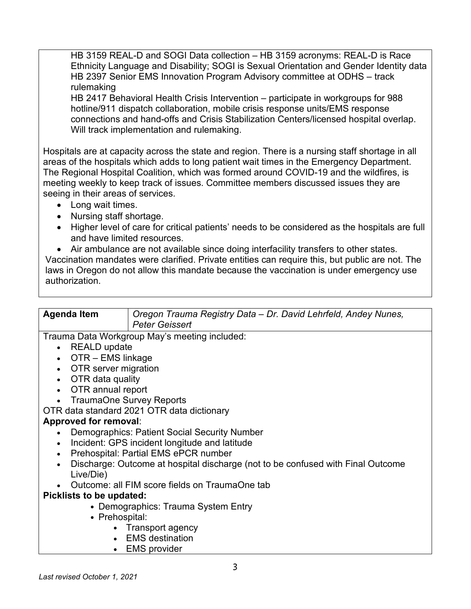HB 3159 REAL-D and SOGI Data collection – HB 3159 acronyms: REAL-D is Race Ethnicity Language and Disability; SOGI is Sexual Orientation and Gender Identity data HB 2397 Senior EMS Innovation Program Advisory committee at ODHS – track rulemaking

HB 2417 Behavioral Health Crisis Intervention – participate in workgroups for 988 hotline/911 dispatch collaboration, mobile crisis response units/EMS response connections and hand-offs and Crisis Stabilization Centers/licensed hospital overlap. Will track implementation and rulemaking.

Hospitals are at capacity across the state and region. There is a nursing staff shortage in all areas of the hospitals which adds to long patient wait times in the Emergency Department. The Regional Hospital Coalition, which was formed around COVID-19 and the wildfires, is meeting weekly to keep track of issues. Committee members discussed issues they are seeing in their areas of services.

- Long wait times.
- Nursing staff shortage.
- Higher level of care for critical patients' needs to be considered as the hospitals are full and have limited resources.
- Air ambulance are not available since doing interfacility transfers to other states.

Vaccination mandates were clarified. Private entities can require this, but public are not. The laws in Oregon do not allow this mandate because the vaccination is under emergency use authorization.

| <b>Agenda Item</b>          | Oregon Trauma Registry Data - Dr. David Lehrfeld, Andey Nunes,<br><b>Peter Geissert</b> |
|-----------------------------|-----------------------------------------------------------------------------------------|
|                             | Trauma Data Workgroup May's meeting included:                                           |
| • REALD update              |                                                                                         |
| $\bullet$ OTR – EMS linkage |                                                                                         |
| • OTR server migration      |                                                                                         |
| • OTR data quality          |                                                                                         |

- OTR annual report
- TraumaOne Survey Reports

OTR data standard 2021 OTR data dictionary

# **Approved for removal**:

- Demographics: Patient Social Security Number
- Incident: GPS incident longitude and latitude
- Prehospital: Partial EMS ePCR number
- Discharge: Outcome at hospital discharge (not to be confused with Final Outcome Live/Die)
- Outcome: all FIM score fields on TraumaOne tab

# **Picklists to be updated:**

- Demographics: Trauma System Entry
- Prehospital:
	- Transport agency
	- EMS destination
	- EMS provider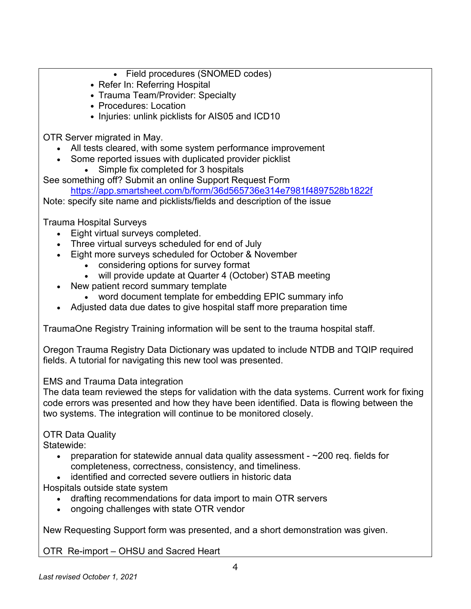- Field procedures (SNOMED codes)
- Refer In: Referring Hospital
- Trauma Team/Provider: Specialty
- Procedures: Location
- Injuries: unlink picklists for AIS05 and ICD10

OTR Server migrated in May.

- All tests cleared, with some system performance improvement
- Some reported issues with duplicated provider picklist
	- Simple fix completed for 3 hospitals

See something off? Submit an online Support Request Form

<https://app.smartsheet.com/b/form/36d565736e314e7981f4897528b1822f>

Note: specify site name and picklists/fields and description of the issue

Trauma Hospital Surveys

- Eight virtual surveys completed.
- Three virtual surveys scheduled for end of July
- Eight more surveys scheduled for October & November
	- considering options for survey format
	- will provide update at Quarter 4 (October) STAB meeting
- New patient record summary template
	- word document template for embedding EPIC summary info
- Adjusted data due dates to give hospital staff more preparation time

TraumaOne Registry Training information will be sent to the trauma hospital staff.

Oregon Trauma Registry Data Dictionary was updated to include NTDB and TQIP required fields. A tutorial for navigating this new tool was presented.

### EMS and Trauma Data integration

The data team reviewed the steps for validation with the data systems. Current work for fixing code errors was presented and how they have been identified. Data is flowing between the two systems. The integration will continue to be monitored closely.

# OTR Data Quality

Statewide:

- preparation for statewide annual data quality assessment  $\sim$ 200 req. fields for completeness, correctness, consistency, and timeliness.
- identified and corrected severe outliers in historic data

Hospitals outside state system

- drafting recommendations for data import to main OTR servers
- ongoing challenges with state OTR vendor

New Requesting Support form was presented, and a short demonstration was given.

OTR Re-import – OHSU and Sacred Heart